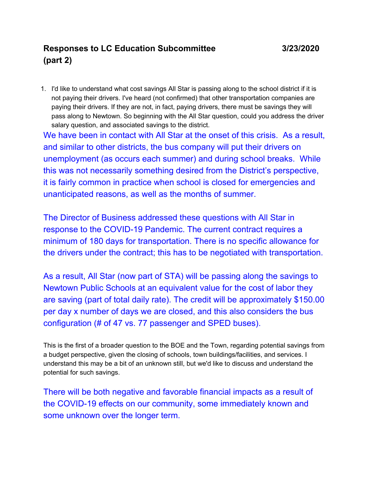## **Responses to LC Education Subcommittee 3/23/2020 (part 2)**

1. I'd like to understand what cost savings All Star is passing along to the school district if it is not paying their drivers. I've heard (not confirmed) that other transportation companies are paying their drivers. If they are not, in fact, paying drivers, there must be savings they will pass along to Newtown. So beginning with the All Star question, could you address the driver salary question, and associated savings to the district.

We have been in contact with All Star at the onset of this crisis. As a result, and similar to other districts, the bus company will put their drivers on unemployment (as occurs each summer) and during school breaks. While this was not necessarily something desired from the District's perspective, it is fairly common in practice when school is closed for emergencies and unanticipated reasons, as well as the months of summer.

The Director of Business addressed these questions with All Star in response to the COVID-19 Pandemic. The current contract requires a minimum of 180 days for transportation. There is no specific allowance for the drivers under the contract; this has to be negotiated with transportation.

As a result, All Star (now part of STA) will be passing along the savings to Newtown Public Schools at an equivalent value for the cost of labor they are saving (part of total daily rate). The credit will be approximately \$150.00 per day x number of days we are closed, and this also considers the bus configuration (# of 47 vs. 77 passenger and SPED buses).

This is the first of a broader question to the BOE and the Town, regarding potential savings from a budget perspective, given the closing of schools, town buildings/facilities, and services. I understand this may be a bit of an unknown still, but we'd like to discuss and understand the potential for such savings.

There will be both negative and favorable financial impacts as a result of the COVID-19 effects on our community, some immediately known and some unknown over the longer term.